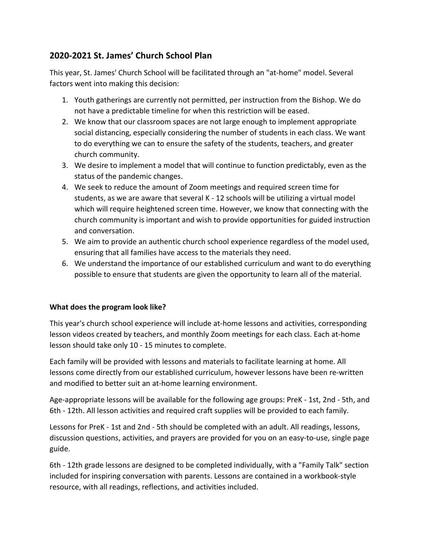# 2020-2021 St. James' Church School Plan

This year, St. James' Church School will be facilitated through an "at-home" model. Several factors went into making this decision:

- 1. Youth gatherings are currently not permitted, per instruction from the Bishop. We do not have a predictable timeline for when this restriction will be eased.
- 2. We know that our classroom spaces are not large enough to implement appropriate social distancing, especially considering the number of students in each class. We want to do everything we can to ensure the safety of the students, teachers, and greater church community.
- 3. We desire to implement a model that will continue to function predictably, even as the status of the pandemic changes.
- 4. We seek to reduce the amount of Zoom meetings and required screen time for students, as we are aware that several K - 12 schools will be utilizing a virtual model which will require heightened screen time. However, we know that connecting with the church community is important and wish to provide opportunities for guided instruction and conversation.
- 5. We aim to provide an authentic church school experience regardless of the model used, ensuring that all families have access to the materials they need.
- 6. We understand the importance of our established curriculum and want to do everything possible to ensure that students are given the opportunity to learn all of the material.

# What does the program look like?

This year's church school experience will include at-home lessons and activities, corresponding lesson videos created by teachers, and monthly Zoom meetings for each class. Each at-home lesson should take only 10 - 15 minutes to complete.

Each family will be provided with lessons and materials to facilitate learning at home. All lessons come directly from our established curriculum, however lessons have been re-written and modified to better suit an at-home learning environment.

Age-appropriate lessons will be available for the following age groups: PreK - 1st, 2nd - 5th, and 6th - 12th. All lesson activities and required craft supplies will be provided to each family.

Lessons for PreK - 1st and 2nd - 5th should be completed with an adult. All readings, lessons, discussion questions, activities, and prayers are provided for you on an easy-to-use, single page guide.

6th - 12th grade lessons are designed to be completed individually, with a "Family Talk" section included for inspiring conversation with parents. Lessons are contained in a workbook-style resource, with all readings, reflections, and activities included.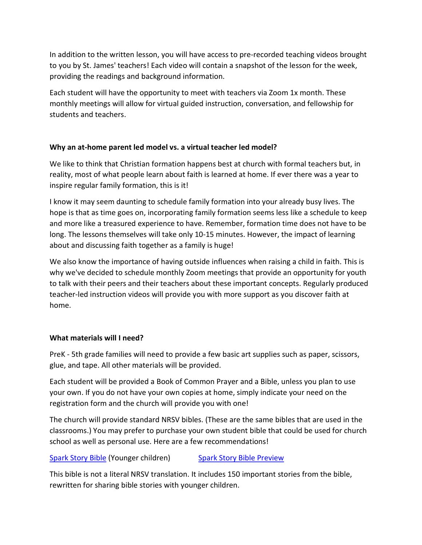In addition to the written lesson, you will have access to pre-recorded teaching videos brought to you by St. James' teachers! Each video will contain a snapshot of the lesson for the week, providing the readings and background information.

Each student will have the opportunity to meet with teachers via Zoom 1x month. These monthly meetings will allow for virtual guided instruction, conversation, and fellowship for students and teachers.

# Why an at-home parent led model vs. a virtual teacher led model?

We like to think that Christian formation happens best at church with formal teachers but, in reality, most of what people learn about faith is learned at home. If ever there was a year to inspire regular family formation, this is it!

I know it may seem daunting to schedule family formation into your already busy lives. The hope is that as time goes on, incorporating family formation seems less like a schedule to keep and more like a treasured experience to have. Remember, formation time does not have to be long. The lessons themselves will take only 10-15 minutes. However, the impact of learning about and discussing faith together as a family is huge!

We also know the importance of having outside influences when raising a child in faith. This is why we've decided to schedule monthly Zoom meetings that provide an opportunity for youth to talk with their peers and their teachers about these important concepts. Regularly produced teacher-led instruction videos will provide you with more support as you discover faith at home.

# What materials will I need?

PreK - 5th grade families will need to provide a few basic art supplies such as paper, scissors, glue, and tape. All other materials will be provided.

Each student will be provided a Book of Common Prayer and a Bible, unless you plan to use your own. If you do not have your own copies at home, simply indicate your need on the registration form and the church will provide you with one!

The church will provide standard NRSV bibles. (These are the same bibles that are used in the classrooms.) You may prefer to purchase your own student bible that could be used for church school as well as personal use. Here are a few recommendations!

# Spark Story Bible (Younger children) Spark Story Bible Preview

This bible is not a literal NRSV translation. It includes 150 important stories from the bible, rewritten for sharing bible stories with younger children.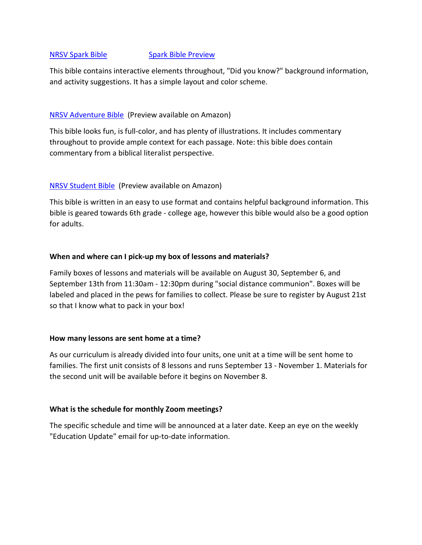#### NRSV Spark Bible Spark Bible Preview

This bible contains interactive elements throughout, "Did you know?" background information, and activity suggestions. It has a simple layout and color scheme.

#### NRSV Adventure Bible (Preview available on Amazon)

This bible looks fun, is full-color, and has plenty of illustrations. It includes commentary throughout to provide ample context for each passage. Note: this bible does contain commentary from a biblical literalist perspective.

### NRSV Student Bible (Preview available on Amazon)

This bible is written in an easy to use format and contains helpful background information. This bible is geared towards 6th grade - college age, however this bible would also be a good option for adults.

#### When and where can I pick-up my box of lessons and materials?

Family boxes of lessons and materials will be available on August 30, September 6, and September 13th from 11:30am - 12:30pm during "social distance communion". Boxes will be labeled and placed in the pews for families to collect. Please be sure to register by August 21st so that I know what to pack in your box!

#### How many lessons are sent home at a time?

As our curriculum is already divided into four units, one unit at a time will be sent home to families. The first unit consists of 8 lessons and runs September 13 - November 1. Materials for the second unit will be available before it begins on November 8.

### What is the schedule for monthly Zoom meetings?

The specific schedule and time will be announced at a later date. Keep an eye on the weekly "Education Update" email for up-to-date information.